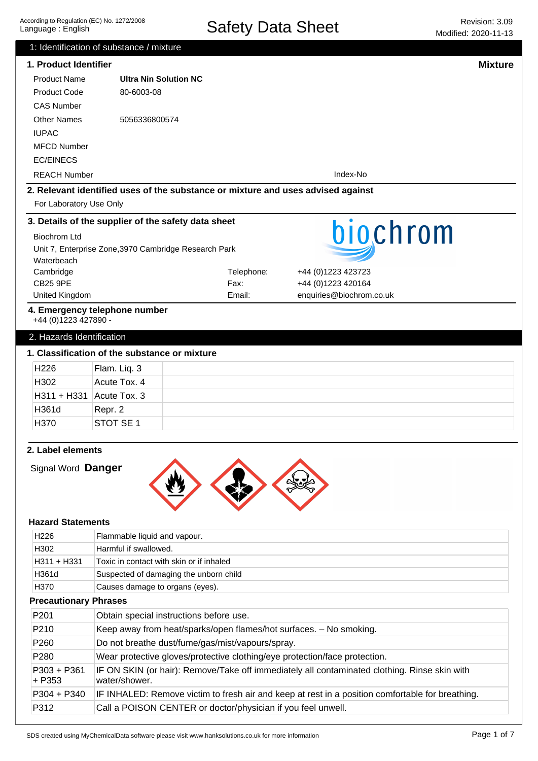|                                                                     | 1: Identification of substance / mixture                                         |            |                                                                                                  |
|---------------------------------------------------------------------|----------------------------------------------------------------------------------|------------|--------------------------------------------------------------------------------------------------|
| 1. Product Identifier                                               |                                                                                  |            | <b>Mixture</b>                                                                                   |
| <b>Product Name</b>                                                 | <b>Ultra Nin Solution NC</b>                                                     |            |                                                                                                  |
| <b>Product Code</b>                                                 | 80-6003-08                                                                       |            |                                                                                                  |
| <b>CAS Number</b>                                                   |                                                                                  |            |                                                                                                  |
| <b>Other Names</b>                                                  | 5056336800574                                                                    |            |                                                                                                  |
| <b>IUPAC</b>                                                        |                                                                                  |            |                                                                                                  |
| <b>MFCD Number</b>                                                  |                                                                                  |            |                                                                                                  |
| <b>EC/EINECS</b>                                                    |                                                                                  |            |                                                                                                  |
| <b>REACH Number</b>                                                 |                                                                                  |            | Index-No                                                                                         |
|                                                                     | 2. Relevant identified uses of the substance or mixture and uses advised against |            |                                                                                                  |
| For Laboratory Use Only                                             |                                                                                  |            |                                                                                                  |
|                                                                     | 3. Details of the supplier of the safety data sheet                              |            |                                                                                                  |
| <b>Biochrom Ltd</b>                                                 |                                                                                  |            | biochrom                                                                                         |
|                                                                     | Unit 7, Enterprise Zone, 3970 Cambridge Research Park                            |            |                                                                                                  |
| Waterbeach                                                          |                                                                                  |            |                                                                                                  |
| Cambridge                                                           |                                                                                  | Telephone: | +44 (0) 1223 423723                                                                              |
| <b>CB25 9PE</b>                                                     |                                                                                  | Fax:       | +44 (0)1223 420164                                                                               |
| United Kingdom                                                      |                                                                                  | Email:     | enquiries@biochrom.co.uk                                                                         |
| +44 (0)1223 427890 -                                                | 4. Emergency telephone number                                                    |            |                                                                                                  |
|                                                                     |                                                                                  |            |                                                                                                  |
| 2. Hazards Identification                                           |                                                                                  |            |                                                                                                  |
|                                                                     | 1. Classification of the substance or mixture                                    |            |                                                                                                  |
| H226                                                                | Flam. Liq. 3                                                                     |            |                                                                                                  |
| H302                                                                | Acute Tox. 4                                                                     |            |                                                                                                  |
| H311 + H331                                                         | Acute Tox. 3                                                                     |            |                                                                                                  |
| H361d                                                               | Repr. 2                                                                          |            |                                                                                                  |
| H370                                                                | STOT SE <sub>1</sub>                                                             |            |                                                                                                  |
| 2. Label elements<br>Signal Word Danger<br><b>Hazard Statements</b> |                                                                                  |            |                                                                                                  |
| H <sub>226</sub>                                                    | Flammable liquid and vapour.                                                     |            |                                                                                                  |
| H302                                                                | Harmful if swallowed.                                                            |            |                                                                                                  |
| H311 + H331                                                         | Toxic in contact with skin or if inhaled                                         |            |                                                                                                  |
| H361d                                                               | Suspected of damaging the unborn child                                           |            |                                                                                                  |
| H370                                                                | Causes damage to organs (eyes).                                                  |            |                                                                                                  |
| <b>Precautionary Phrases</b>                                        |                                                                                  |            |                                                                                                  |
| P201                                                                | Obtain special instructions before use.                                          |            |                                                                                                  |
| P210                                                                | Keep away from heat/sparks/open flames/hot surfaces. - No smoking.               |            |                                                                                                  |
| P260                                                                | Do not breathe dust/fume/gas/mist/vapours/spray.                                 |            |                                                                                                  |
| P280                                                                |                                                                                  |            | Wear protective gloves/protective clothing/eye protection/face protection.                       |
| $P303 + P361$<br>$+ P353$                                           | water/shower.                                                                    |            | IF ON SKIN (or hair): Remove/Take off immediately all contaminated clothing. Rinse skin with     |
| P304 + P340                                                         |                                                                                  |            | IF INHALED: Remove victim to fresh air and keep at rest in a position comfortable for breathing. |

P312 Call a POISON CENTER or doctor/physician if you feel unwell.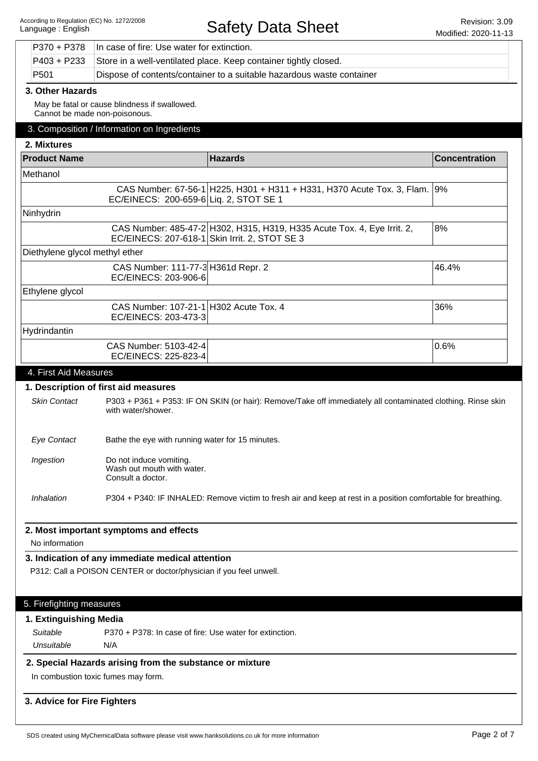|                                    | P370 + P378                                                      | In case of fire: Use water for extinction.                                                                             |                                                                                                               |                      |
|------------------------------------|------------------------------------------------------------------|------------------------------------------------------------------------------------------------------------------------|---------------------------------------------------------------------------------------------------------------|----------------------|
| $P403 + P233$                      | Store in a well-ventilated place. Keep container tightly closed. |                                                                                                                        |                                                                                                               |                      |
| P <sub>501</sub>                   |                                                                  | Dispose of contents/container to a suitable hazardous waste container                                                  |                                                                                                               |                      |
|                                    | 3. Other Hazards                                                 |                                                                                                                        |                                                                                                               |                      |
|                                    |                                                                  | May be fatal or cause blindness if swallowed.<br>Cannot be made non-poisonous.                                         |                                                                                                               |                      |
|                                    |                                                                  | 3. Composition / Information on Ingredients                                                                            |                                                                                                               |                      |
| 2. Mixtures                        |                                                                  |                                                                                                                        |                                                                                                               |                      |
| <b>Product Name</b>                |                                                                  | <b>Hazards</b>                                                                                                         |                                                                                                               | <b>Concentration</b> |
| Methanol                           |                                                                  |                                                                                                                        |                                                                                                               |                      |
|                                    |                                                                  | EC/EINECS: 200-659-6 Liq. 2, STOT SE 1                                                                                 | CAS Number: 67-56-1 H225, H301 + H311 + H331, H370 Acute Tox. 3, Flam. 9%                                     |                      |
| Ninhydrin                          |                                                                  |                                                                                                                        |                                                                                                               |                      |
|                                    |                                                                  | EC/EINECS: 207-618-1 Skin Irrit. 2, STOT SE 3                                                                          | CAS Number: 485-47-2 H302, H315, H319, H335 Acute Tox. 4, Eye Irrit. 2,                                       | 8%                   |
|                                    |                                                                  | Diethylene glycol methyl ether                                                                                         |                                                                                                               |                      |
|                                    |                                                                  | CAS Number: 111-77-3 H361d Repr. 2<br>EC/EINECS: 203-906-6                                                             |                                                                                                               | 46.4%                |
| Ethylene glycol                    |                                                                  |                                                                                                                        |                                                                                                               |                      |
|                                    |                                                                  | CAS Number: 107-21-1 H302 Acute Tox. 4<br>EC/EINECS: 203-473-3                                                         |                                                                                                               | 36%                  |
| Hydrindantin                       |                                                                  |                                                                                                                        |                                                                                                               |                      |
|                                    |                                                                  | CAS Number: 5103-42-4<br>EC/EINECS: 225-823-4                                                                          |                                                                                                               | 0.6%                 |
| 4. First Aid Measures              |                                                                  |                                                                                                                        |                                                                                                               |                      |
|                                    |                                                                  | 1. Description of first aid measures                                                                                   |                                                                                                               |                      |
| <b>Skin Contact</b>                |                                                                  | with water/shower.                                                                                                     | P303 + P361 + P353: IF ON SKIN (or hair): Remove/Take off immediately all contaminated clothing. Rinse skin   |                      |
|                                    |                                                                  |                                                                                                                        |                                                                                                               |                      |
| <b>Eye Contact</b>                 |                                                                  | Bathe the eye with running water for 15 minutes.                                                                       |                                                                                                               |                      |
| Ingestion                          |                                                                  | Do not induce vomiting.<br>Wash out mouth with water.<br>Consult a doctor.                                             |                                                                                                               |                      |
| Inhalation                         |                                                                  |                                                                                                                        | P304 + P340: IF INHALED: Remove victim to fresh air and keep at rest in a position comfortable for breathing. |                      |
|                                    |                                                                  |                                                                                                                        |                                                                                                               |                      |
|                                    |                                                                  | 2. Most important symptoms and effects                                                                                 |                                                                                                               |                      |
| No information                     |                                                                  |                                                                                                                        |                                                                                                               |                      |
|                                    |                                                                  | 3. Indication of any immediate medical attention<br>P312: Call a POISON CENTER or doctor/physician if you feel unwell. |                                                                                                               |                      |
|                                    |                                                                  |                                                                                                                        |                                                                                                               |                      |
|                                    |                                                                  |                                                                                                                        |                                                                                                               |                      |
| 5. Firefighting measures           |                                                                  |                                                                                                                        |                                                                                                               |                      |
| 1. Extinguishing Media<br>Suitable |                                                                  | P370 + P378: In case of fire: Use water for extinction.                                                                |                                                                                                               |                      |
| Unsuitable                         |                                                                  | N/A                                                                                                                    |                                                                                                               |                      |
|                                    |                                                                  | 2. Special Hazards arising from the substance or mixture                                                               |                                                                                                               |                      |
|                                    |                                                                  | In combustion toxic fumes may form.                                                                                    |                                                                                                               |                      |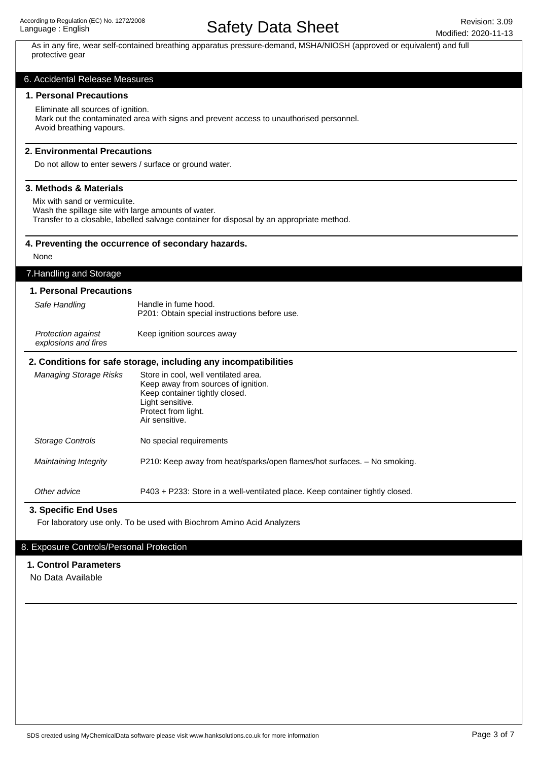As in any fire, wear self-contained breathing apparatus pressure-demand, MSHA/NIOSH (approved or equivalent) and full protective gear

#### 6. Accidental Release Measures

#### **1. Personal Precautions**

Eliminate all sources of ignition. Mark out the contaminated area with signs and prevent access to unauthorised personnel. Avoid breathing vapours.

#### **2. Environmental Precautions**

Do not allow to enter sewers / surface or ground water.

#### **3. Methods & Materials**

Mix with sand or vermiculite.

Wash the spillage site with large amounts of water.

Transfer to a closable, labelled salvage container for disposal by an appropriate method.

#### **4. Preventing the occurrence of secondary hazards.**

None

## 7.Handling and Storage

### **1. Personal Precautions**

| Safe Handling                                     | Handle in fume hood.<br>P201: Obtain special instructions before use. |
|---------------------------------------------------|-----------------------------------------------------------------------|
| <b>Protection against</b><br>explosions and fires | Keep ignition sources away                                            |

#### **2. Conditions for safe storage, including any incompatibilities**

| Managing Storage Risks | Store in cool, well ventilated area.<br>Keep away from sources of ignition.<br>Keep container tightly closed.<br>Light sensitive.<br>Protect from light.<br>Air sensitive. |
|------------------------|----------------------------------------------------------------------------------------------------------------------------------------------------------------------------|
| Storage Controls       | No special requirements                                                                                                                                                    |
| Maintaining Integrity  | P210: Keep away from heat/sparks/open flames/hot surfaces. – No smoking.                                                                                                   |
| Other advice           | P403 + P233: Store in a well-ventilated place. Keep container tightly closed.                                                                                              |

#### **3. Specific End Uses**

For laboratory use only. To be used with Biochrom Amino Acid Analyzers

## 8. Exposure Controls/Personal Protection

## **1. Control Parameters**

No Data Available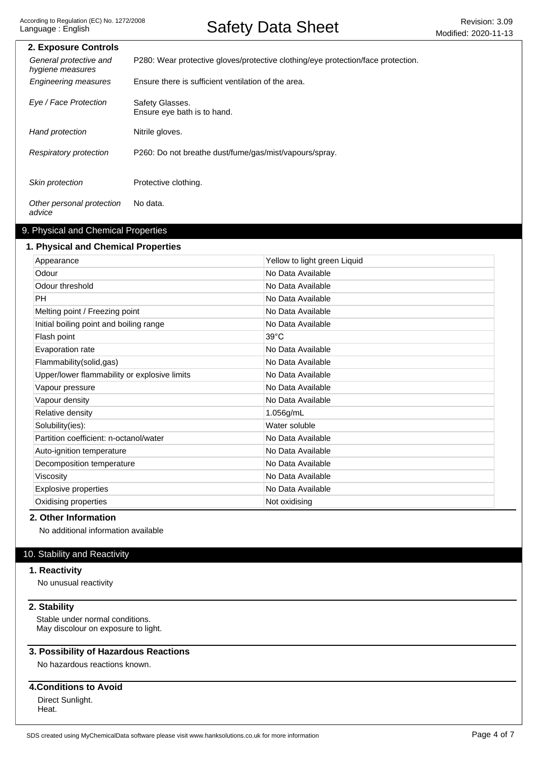| 2. Exposure Controls                       |                                                                                  |
|--------------------------------------------|----------------------------------------------------------------------------------|
| General protective and<br>hygiene measures | P280: Wear protective gloves/protective clothing/eye protection/face protection. |
| <b>Engineering measures</b>                | Ensure there is sufficient ventilation of the area.                              |
| Eye / Face Protection                      | Safety Glasses.<br>Ensure eye bath is to hand.                                   |
| Hand protection                            | Nitrile gloves.                                                                  |
| Respiratory protection                     | P260: Do not breathe dust/fume/gas/mist/vapours/spray.                           |
| Skin protection                            | Protective clothing.                                                             |
| Other personal protection<br>advice        | No data.                                                                         |

## 9. Physical and Chemical Properties

#### **1. Physical and Chemical Properties**

| Appearance                                   | Yellow to light green Liquid |
|----------------------------------------------|------------------------------|
| Odour                                        | No Data Available            |
| Odour threshold                              | No Data Available            |
| <b>PH</b>                                    | No Data Available            |
| Melting point / Freezing point               | No Data Available            |
| Initial boiling point and boiling range      | No Data Available            |
| Flash point                                  | $39^{\circ}$ C               |
| Evaporation rate                             | No Data Available            |
| Flammability(solid,gas)                      | No Data Available            |
| Upper/lower flammability or explosive limits | No Data Available            |
| Vapour pressure                              | No Data Available            |
| Vapour density                               | No Data Available            |
| Relative density                             | 1.056g/mL                    |
| Solubility(ies):                             | Water soluble                |
| Partition coefficient: n-octanol/water       | No Data Available            |
| Auto-ignition temperature                    | No Data Available            |
| Decomposition temperature                    | No Data Available            |
| Viscosity                                    | No Data Available            |
| <b>Explosive properties</b>                  | No Data Available            |
| Oxidising properties                         | Not oxidising                |
|                                              |                              |

## **2. Other Information**

No additional information available

## 10. Stability and Reactivity

## **1. Reactivity**

No unusual reactivity

## **2. Stability**

Stable under normal conditions. May discolour on exposure to light.

### **3. Possibility of Hazardous Reactions**

No hazardous reactions known.

### **4.Conditions to Avoid**

Direct Sunlight. Heat.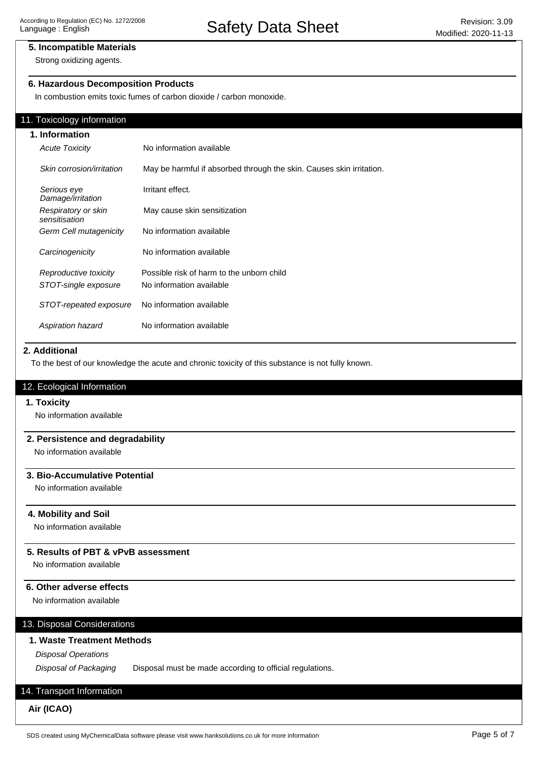## **5. Incompatible Materials**

Strong oxidizing agents.

## **6. Hazardous Decomposition Products**

In combustion emits toxic fumes of carbon dioxide / carbon monoxide.

#### 11. Toxicology information

| 1. Information                       |                                                                      |  |  |
|--------------------------------------|----------------------------------------------------------------------|--|--|
| <b>Acute Toxicity</b>                | No information available                                             |  |  |
| Skin corrosion/irritation            | May be harmful if absorbed through the skin. Causes skin irritation. |  |  |
| Serious eye<br>Damage/irritation     | Irritant effect.                                                     |  |  |
| Respiratory or skin<br>sensitisation | May cause skin sensitization                                         |  |  |
| Germ Cell mutagenicity               | No information available                                             |  |  |
| Carcinogenicity                      | No information available                                             |  |  |
| Reproductive toxicity                | Possible risk of harm to the unborn child                            |  |  |
| STOT-single exposure                 | No information available                                             |  |  |
| STOT-repeated exposure               | No information available                                             |  |  |
| Aspiration hazard                    | No information available                                             |  |  |

#### **2. Additional**

To the best of our knowledge the acute and chronic toxicity of this substance is not fully known.

#### 12. Ecological Information

#### **1. Toxicity**

No information available

## **2. Persistence and degradability**

No information available

## **3. Bio-Accumulative Potential**

No information available

#### **4. Mobility and Soil**

No information available

## **5. Results of PBT & vPvB assessment**

No information available

## **6. Other adverse effects**

No information available

## 13. Disposal Considerations

## **1. Waste Treatment Methods**

Disposal Operations

Disposal of Packaging Disposal must be made according to official regulations.

## 14. Transport Information

**Air (ICAO)**